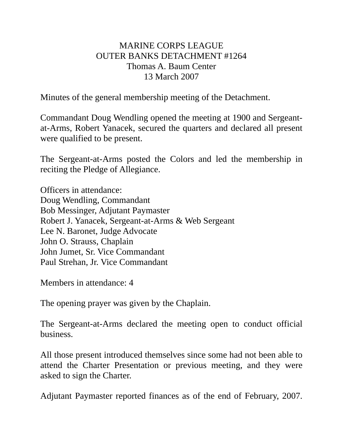## MARINE CORPS LEAGUE OUTER BANKS DETACHMENT #1264 Thomas A. Baum Center 13 March 2007

Minutes of the general membership meeting of the Detachment.

Commandant Doug Wendling opened the meeting at 1900 and Sergeantat-Arms, Robert Yanacek, secured the quarters and declared all present were qualified to be present.

The Sergeant-at-Arms posted the Colors and led the membership in reciting the Pledge of Allegiance.

Officers in attendance: Doug Wendling, Commandant Bob Messinger, Adjutant Paymaster Robert J. Yanacek, Sergeant-at-Arms & Web Sergeant Lee N. Baronet, Judge Advocate John O. Strauss, Chaplain John Jumet, Sr. Vice Commandant Paul Strehan, Jr. Vice Commandant

Members in attendance: 4

The opening prayer was given by the Chaplain.

The Sergeant-at-Arms declared the meeting open to conduct official business.

All those present introduced themselves since some had not been able to attend the Charter Presentation or previous meeting, and they were asked to sign the Charter.

Adjutant Paymaster reported finances as of the end of February, 2007.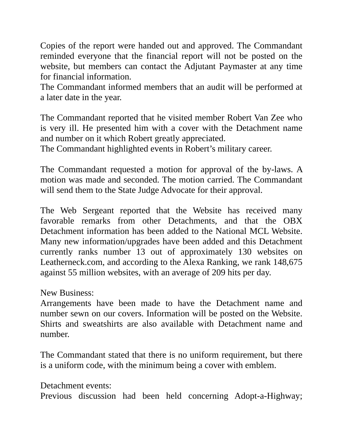Copies of the report were handed out and approved. The Commandant reminded everyone that the financial report will not be posted on the website, but members can contact the Adjutant Paymaster at any time for financial information.

The Commandant informed members that an audit will be performed at a later date in the year.

The Commandant reported that he visited member Robert Van Zee who is very ill. He presented him with a cover with the Detachment name and number on it which Robert greatly appreciated.

The Commandant highlighted events in Robert's military career.

The Commandant requested a motion for approval of the by-laws. A motion was made and seconded. The motion carried. The Commandant will send them to the State Judge Advocate for their approval.

The Web Sergeant reported that the Website has received many favorable remarks from other Detachments, and that the OBX Detachment information has been added to the National MCL Website. Many new information/upgrades have been added and this Detachment currently ranks number 13 out of approximately 130 websites on Leatherneck.com, and according to the Alexa Ranking, we rank 148,675 against 55 million websites, with an average of 209 hits per day.

New Business:

Arrangements have been made to have the Detachment name and number sewn on our covers. Information will be posted on the Website. Shirts and sweatshirts are also available with Detachment name and number.

The Commandant stated that there is no uniform requirement, but there is a uniform code, with the minimum being a cover with emblem.

Detachment events: Previous discussion had been held concerning Adopt-a-Highway;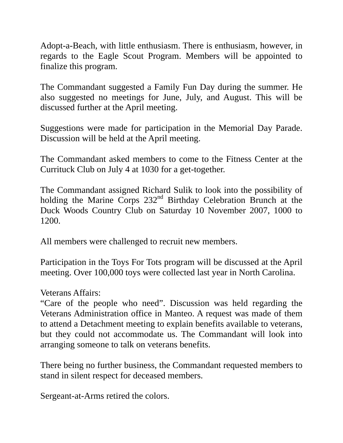Adopt-a-Beach, with little enthusiasm. There is enthusiasm, however, in regards to the Eagle Scout Program. Members will be appointed to finalize this program.

The Commandant suggested a Family Fun Day during the summer. He also suggested no meetings for June, July, and August. This will be discussed further at the April meeting.

Suggestions were made for participation in the Memorial Day Parade. Discussion will be held at the April meeting.

The Commandant asked members to come to the Fitness Center at the Currituck Club on July 4 at 1030 for a get-together.

The Commandant assigned Richard Sulik to look into the possibility of holding the Marine Corps 232<sup>nd</sup> Birthday Celebration Brunch at the Duck Woods Country Club on Saturday 10 November 2007, 1000 to 1200.

All members were challenged to recruit new members.

Participation in the Toys For Tots program will be discussed at the April meeting. Over 100,000 toys were collected last year in North Carolina.

Veterans Affairs:

"Care of the people who need". Discussion was held regarding the Veterans Administration office in Manteo. A request was made of them to attend a Detachment meeting to explain benefits available to veterans, but they could not accommodate us. The Commandant will look into arranging someone to talk on veterans benefits.

There being no further business, the Commandant requested members to stand in silent respect for deceased members.

Sergeant-at-Arms retired the colors.